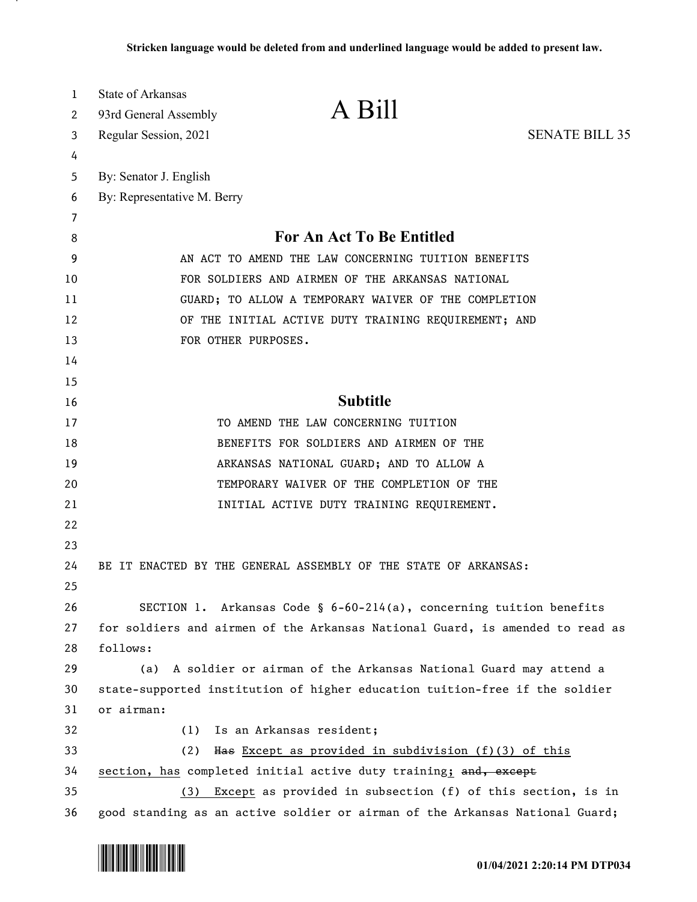| 1  | <b>State of Arkansas</b>                                                      |  |
|----|-------------------------------------------------------------------------------|--|
| 2  | A Bill<br>93rd General Assembly                                               |  |
| 3  | <b>SENATE BILL 35</b><br>Regular Session, 2021                                |  |
| 4  |                                                                               |  |
| 5  | By: Senator J. English                                                        |  |
| 6  | By: Representative M. Berry                                                   |  |
| 7  |                                                                               |  |
| 8  | For An Act To Be Entitled                                                     |  |
| 9  | AN ACT TO AMEND THE LAW CONCERNING TUITION BENEFITS                           |  |
| 10 | FOR SOLDIERS AND AIRMEN OF THE ARKANSAS NATIONAL                              |  |
| 11 | GUARD; TO ALLOW A TEMPORARY WAIVER OF THE COMPLETION                          |  |
| 12 | OF THE INITIAL ACTIVE DUTY TRAINING REQUIREMENT; AND                          |  |
| 13 | FOR OTHER PURPOSES.                                                           |  |
| 14 |                                                                               |  |
| 15 |                                                                               |  |
| 16 | <b>Subtitle</b>                                                               |  |
| 17 | TO AMEND THE LAW CONCERNING TUITION                                           |  |
| 18 | BENEFITS FOR SOLDIERS AND AIRMEN OF THE                                       |  |
| 19 | ARKANSAS NATIONAL GUARD; AND TO ALLOW A                                       |  |
| 20 | TEMPORARY WAIVER OF THE COMPLETION OF THE                                     |  |
| 21 | INITIAL ACTIVE DUTY TRAINING REQUIREMENT.                                     |  |
| 22 |                                                                               |  |
| 23 |                                                                               |  |
| 24 | BE IT ENACTED BY THE GENERAL ASSEMBLY OF THE STATE OF ARKANSAS:               |  |
| 25 |                                                                               |  |
| 26 | SECTION 1. Arkansas Code § 6-60-214(a), concerning tuition benefits           |  |
| 27 | for soldiers and airmen of the Arkansas National Guard, is amended to read as |  |
| 28 | follows:                                                                      |  |
| 29 | A soldier or airman of the Arkansas National Guard may attend a<br>(a)        |  |
| 30 | state-supported institution of higher education tuition-free if the soldier   |  |
| 31 | or airman:                                                                    |  |
| 32 | Is an Arkansas resident;<br>(1)                                               |  |
| 33 | Has Except as provided in subdivision (f)(3) of this<br>(2)                   |  |
| 34 | section, has completed initial active duty training; and, except              |  |
| 35 | Except as provided in subsection (f) of this section, is in<br>(3)            |  |
| 36 | good standing as an active soldier or airman of the Arkansas National Guard;  |  |